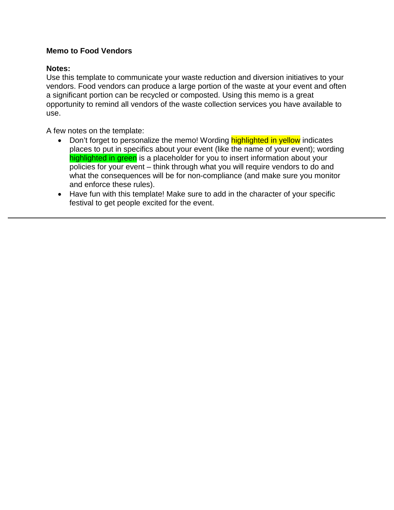## **Memo to Food Vendors**

## **Notes:**

Use this template to communicate your waste reduction and diversion initiatives to your vendors. Food vendors can produce a large portion of the waste at your event and often a significant portion can be recycled or composted. Using this memo is a great opportunity to remind all vendors of the waste collection services you have available to use.

A few notes on the template:

- Don't forget to personalize the memo! Wording **highlighted in yellow** indicates places to put in specifics about your event (like the name of your event); wording highlighted in green is a placeholder for you to insert information about your policies for your event – think through what you will require vendors to do and what the consequences will be for non-compliance (and make sure you monitor and enforce these rules).
- Have fun with this template! Make sure to add in the character of your specific festival to get people excited for the event.